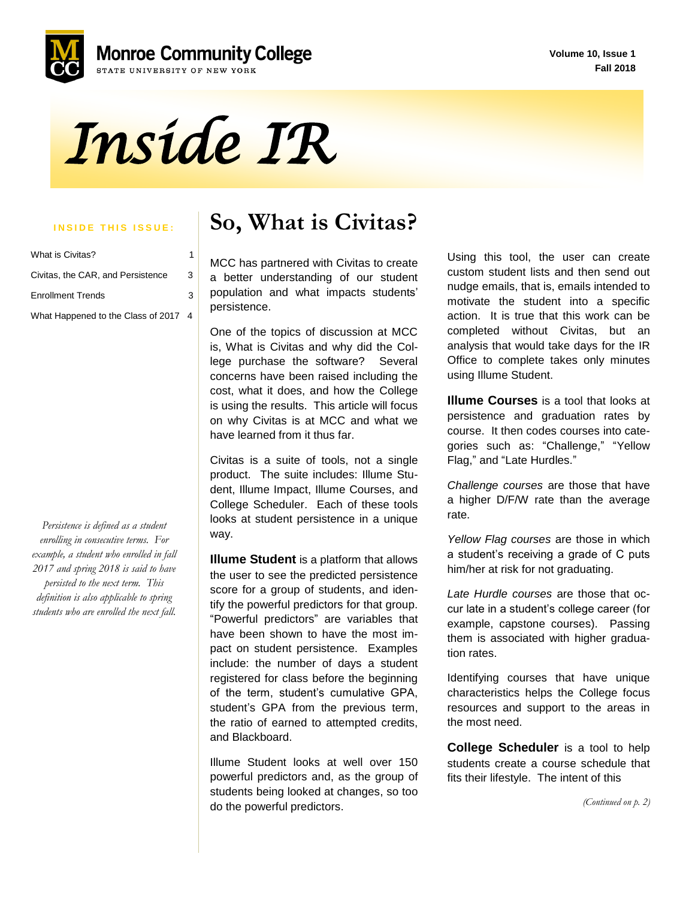**Volume 10, Issue 1 Fall 2018**





| What is Civitas?                     |   |
|--------------------------------------|---|
| Civitas, the CAR, and Persistence    | 3 |
| <b>Enrollment Trends</b>             | 3 |
| What Happened to the Class of 2017 4 |   |

*Persistence is defined as a student enrolling in consecutive terms. For example, a student who enrolled in fall 2017 and spring 2018 is said to have persisted to the next term. This definition is also applicable to spring students who are enrolled the next fall.*

### **INSIDE THIS ISSUE:** | So, What is Civitas?

MCC has partnered with Civitas to create a better understanding of our student population and what impacts students' persistence.

 One of the topics of discussion at MCC is, What is Civitas and why did the College purchase the software? Several concerns have been raised including the cost, what it does, and how the College is using the results. This article will focus on why Civitas is at MCC and what we have learned from it thus far.

Civitas is a suite of tools, not a single product. The suite includes: Illume Student, Illume Impact, Illume Courses, and College Scheduler. Each of these tools looks at student persistence in a unique way.

**Illume Student** is a platform that allows the user to see the predicted persistence score for a group of students, and identify the powerful predictors for that group. "Powerful predictors" are variables that have been shown to have the most impact on student persistence. Examples include: the number of days a student registered for class before the beginning of the term, student's cumulative GPA, student's GPA from the previous term, the ratio of earned to attempted credits, and Blackboard.

Illume Student looks at well over 150 powerful predictors and, as the group of students being looked at changes, so too do the powerful predictors.

Using this tool, the user can create custom student lists and then send out nudge emails, that is, emails intended to motivate the student into a specific action. It is true that this work can be completed without Civitas, but an analysis that would take days for the IR Office to complete takes only minutes using Illume Student.

**Illume Courses** is a tool that looks at persistence and graduation rates by course. It then codes courses into categories such as: "Challenge," "Yellow Flag," and "Late Hurdles."

*Challenge courses* are those that have a higher D/F/W rate than the average rate.

*Yellow Flag courses* are those in which a student's receiving a grade of C puts him/her at risk for not graduating.

*Late Hurdle courses* are those that occur late in a student's college career (for example, capstone courses). Passing them is associated with higher graduation rates.

Identifying courses that have unique characteristics helps the College focus resources and support to the areas in the most need.

**College Scheduler** is a tool to help students create a course schedule that fits their lifestyle. The intent of this

*(Continued on p. 2)*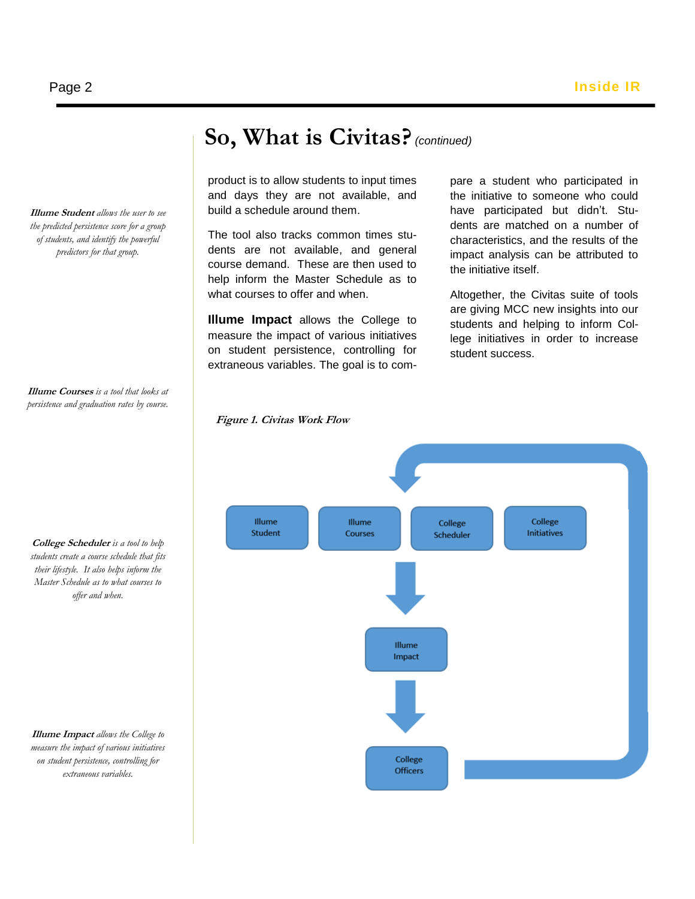product is to allow students to input times and days they are not available, and build a schedule around them.

 course demand. These are then used to The tool also tracks common times students are not available, and general help inform the Master Schedule as to what courses to offer and when.

**Illume Impact** allows the College to measure the impact of various initiatives on student persistence, controlling for extraneous variables. The goal is to com-

**Figure 1. Civitas Work Flow**

pare a student who participated in the initiative to someone who could have participated but didn't. Students are matched on a number of characteristics, and the results of the impact analysis can be attributed to the initiative itself.

Altogether, the Civitas suite of tools are giving MCC new insights into our students and helping to inform College initiatives in order to increase student success.

**Illume Courses** *is a tool that looks at persistence and graduation rates by course.*

**Illume Student** *allows the user to see the predicted persistence score for a group of students, and identify the powerful predictors for that group.* 

**College Scheduler** *is a tool to help students create a course schedule that fits their lifestyle. It also helps inform the Master Schedule as to what courses to offer and when.*

**Illume Impact** *allows the College to measure the impact of various initiatives on student persistence, controlling for extraneous variables.* 



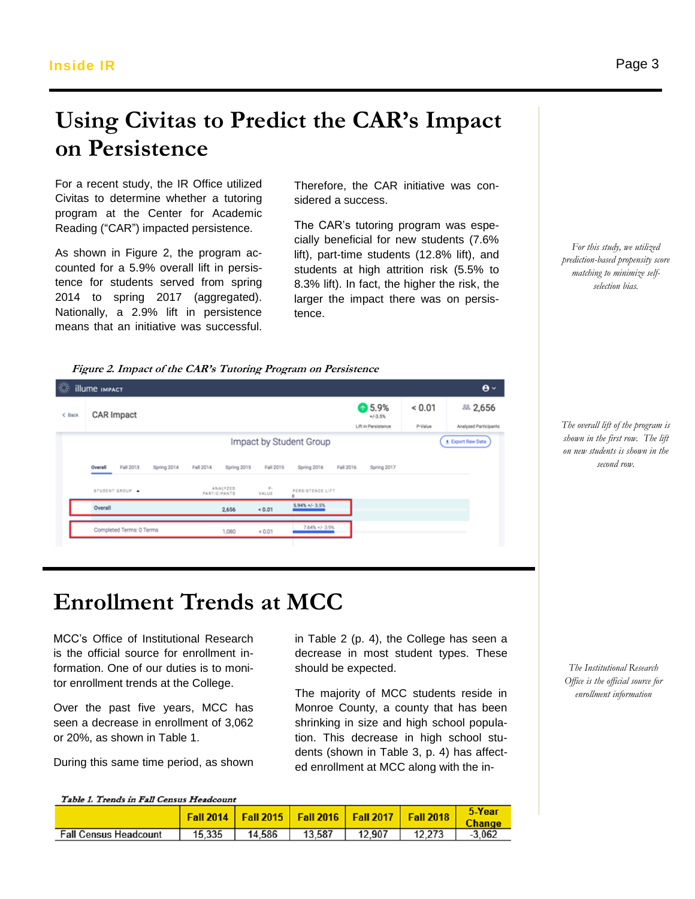**illume IMPACT** 

 $C$  Back

**CAR Impact** 

Fall 2013

STUDENT GROUP

Completed Terms: 0 Terms

Overall

# Using Civitas to Predict the CAR's Impact **on Persistence**

Impact by Student Group

Spring 2016

PERSISTENCE LIFT  $5.94\% + (-3.5\%$ 

 $7.64\% + / - 3.91$ 

Fall 2016

Fall 2015

P-<br>VALUE

 $< 0.01$ 

 $<0.01$ 

For a recent study, the IR Office utilized Civitas to determine whether a tutoring sidered a success.<br>program at the Center for Academic program at the Center for Academic Reading ("CAR") impacted persistence.

As shown in Figure 2, the program accounted for a 5.9% overall lift in persistence for students served from spring 2014 to spring 2017 (aggregated). Nationally, a 2.9% lift in persistence means that an initiative was successful.

Therefore, the CAR initiative was considered a success.

The CAR's tutoring program was especially beneficial for new students (7.6% lift), part-time students (12.8% lift), and students at high attrition risk (5.5% to 8.3% lift). In fact, the higher the risk, the larger the impact there was on persistence.

↑5.9%

 $+/-3.5%$ Lift in Persistence

Spring 2017

 $< 0.01$ 

P-Value

 $\mathbf{\Theta} \times$ 

2,656

Analyzed Participants

Export Raw Data

*For this study, we utilized prediction-based propensity score matching to minimize selfselection bias.*

*The overall lift of the program is shown in the first row. The lift on new students is shown in the* 

*second row.*

*The Institutional Research Office is the official source for enrollment information*

**Enrollment Trends at MCC**

Fall 2014

is the official source for enrollment in-MCC's Office of Institutional Research formation. One of our duties is to monitor enrollment trends at the College.

 seen a decrease in enrollment of 3,062 Over the past five years, MCC has or 20%, as shown in Table 1.

During this same time period, as shown

in Table 2 (p. 4), the College has seen a decrease in most student types. These should be expected.

The majority of MCC students reside in Monroe County, a county that has been shrinking in size and high school population. This decrease in high school students (shown in Table 3, p. 4) has affected enrollment at MCC along with the in-

Table 1. Trends in Fall Census Headcount

|                              |        |        | <b>Fall 2014   Fall 2015   Fall 2016   Fall 2017   Fall 2018</b> |        |        | Year     |
|------------------------------|--------|--------|------------------------------------------------------------------|--------|--------|----------|
| <b>Fall Census Headcount</b> | 15,335 | 14.586 | 13,587                                                           | 12.907 | 12.273 | $-3.062$ |

ANALYZED<br>PARTICIPANTS

2,656

1.080

**Figure 2. Impact of the CAR's Tutoring Program on Persistence**

Spring 2015

Page 3